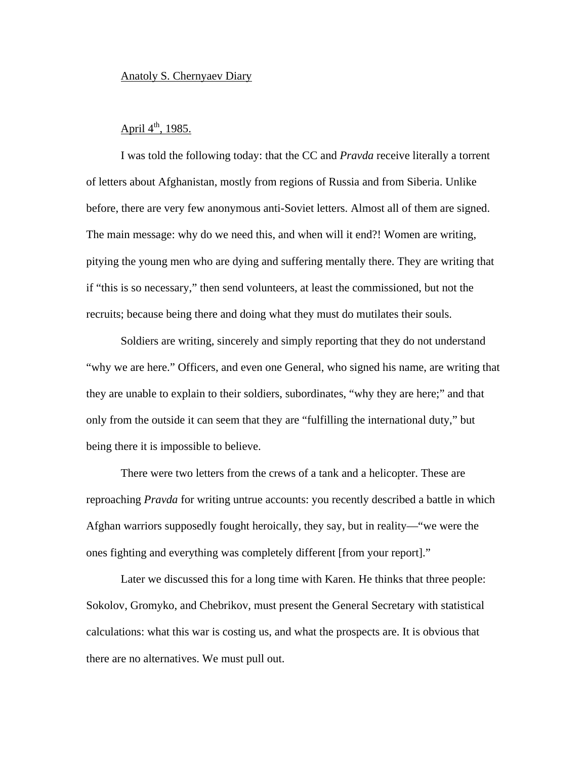## Anatoly S. Chernyaev Diary

## April  $4^{\text{th}}$ , 1985.

I was told the following today: that the CC and *Pravda* receive literally a torrent of letters about Afghanistan, mostly from regions of Russia and from Siberia. Unlike before, there are very few anonymous anti-Soviet letters. Almost all of them are signed. The main message: why do we need this, and when will it end?! Women are writing, pitying the young men who are dying and suffering mentally there. They are writing that if "this is so necessary," then send volunteers, at least the commissioned, but not the recruits; because being there and doing what they must do mutilates their souls.

Soldiers are writing, sincerely and simply reporting that they do not understand "why we are here." Officers, and even one General, who signed his name, are writing that they are unable to explain to their soldiers, subordinates, "why they are here;" and that only from the outside it can seem that they are "fulfilling the international duty," but being there it is impossible to believe.

There were two letters from the crews of a tank and a helicopter. These are reproaching *Pravda* for writing untrue accounts: you recently described a battle in which Afghan warriors supposedly fought heroically, they say, but in reality—"we were the ones fighting and everything was completely different [from your report]."

Later we discussed this for a long time with Karen. He thinks that three people: Sokolov, Gromyko, and Chebrikov, must present the General Secretary with statistical calculations: what this war is costing us, and what the prospects are. It is obvious that there are no alternatives. We must pull out.